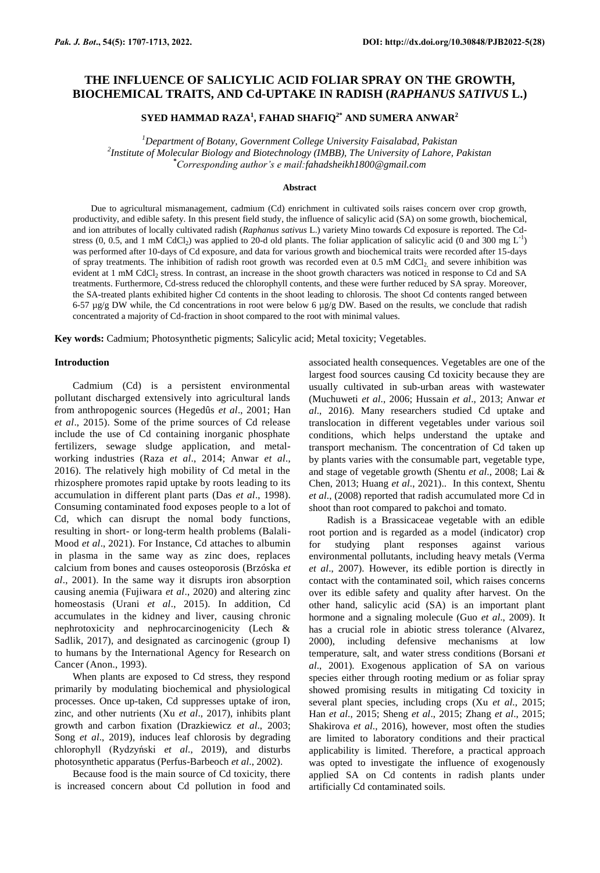# **THE INFLUENCE OF SALICYLIC ACID FOLIAR SPRAY ON THE GROWTH, BIOCHEMICAL TRAITS, AND Cd-UPTAKE IN RADISH (***RAPHANUS SATIVUS* **L.)**

## **SYED HAMMAD RAZA<sup>1</sup> , FAHAD SHAFIQ2\* AND SUMERA ANWAR<sup>2</sup>**

*<sup>1</sup>Department of Botany, Government College University Faisalabad, Pakistan 2 Institute of Molecular Biology and Biotechnology (IMBB), The University of Lahore, Pakistan* **\****Corresponding author's e mail[:fahadsheikh1800@gmail.com](mailto:fahadsheikh1800@gmail.com)*

### **Abstract**

Due to agricultural mismanagement, cadmium (Cd) enrichment in cultivated soils raises concern over crop growth, productivity, and edible safety. In this present field study, the influence of salicylic acid (SA) on some growth, biochemical, and ion attributes of locally cultivated radish (*Raphanus sativus* L.) variety Mino towards Cd exposure is reported. The Cdstress (0, 0.5, and 1 mM CdCl<sub>2</sub>) was applied to 20-d old plants. The foliar application of salicylic acid (0 and 300 mg  $L^{-1}$ ) was performed after 10-days of Cd exposure, and data for various growth and biochemical traits were recorded after 15-days of spray treatments. The inhibition of radish root growth was recorded even at 0.5 mM CdCl<sub>2</sub> and severe inhibition was evident at 1 mM CdCl<sub>2</sub> stress. In contrast, an increase in the shoot growth characters was noticed in response to Cd and SA treatments. Furthermore, Cd-stress reduced the chlorophyll contents, and these were further reduced by SA spray. Moreover, the SA-treated plants exhibited higher Cd contents in the shoot leading to chlorosis. The shoot Cd contents ranged between 6-57  $\mu$ g/g DW while, the Cd concentrations in root were below 6  $\mu$ g/g DW. Based on the results, we conclude that radish concentrated a majority of Cd-fraction in shoot compared to the root with minimal values.

**Key words:** Cadmium; Photosynthetic pigments; Salicylic acid; Metal toxicity; Vegetables.

#### **Introduction**

Cadmium (Cd) is a persistent environmental pollutant discharged extensively into agricultural lands from anthropogenic sources (Hegedûs *et al*., 2001; Han *et al*., 2015). Some of the prime sources of Cd release include the use of Cd containing inorganic phosphate fertilizers, sewage sludge application, and metalworking industries (Raza *et al*., 2014; Anwar *et al*., 2016). The relatively high mobility of Cd metal in the rhizosphere promotes rapid uptake by roots leading to its accumulation in different plant parts (Das *et al*., 1998). Consuming contaminated food exposes people to a lot of Cd, which can disrupt the nomal body functions, resulting in short- or long-term health problems (Balali-Mood *et al*., 2021). For Instance, Cd attaches to albumin in plasma in the same way as zinc does, replaces calcium from bones and causes osteoporosis (Brzóska *et al*., 2001). In the same way it disrupts iron absorption causing anemia (Fujiwara *et al*., 2020) and altering zinc homeostasis (Urani *et al*., 2015). In addition, Cd accumulates in the kidney and liver, causing chronic nephrotoxicity and nephrocarcinogenicity (Lech & Sadlik, 2017), and designated as carcinogenic (group I) to humans by the International Agency for Research on Cancer (Anon., 1993).

When plants are exposed to Cd stress, they respond primarily by modulating biochemical and physiological processes. Once up-taken, Cd suppresses uptake of iron, zinc, and other nutrients (Xu *et al*., 2017), inhibits plant growth and carbon fixation (Drazkiewicz *et al*., 2003; Song *et al*., 2019), induces leaf chlorosis by degrading chlorophyll (Rydzyński *et al*., 2019), and disturbs photosynthetic apparatus (Perfus-Barbeoch *et al*., 2002).

Because food is the main source of Cd toxicity, there is increased concern about Cd pollution in food and associated health consequences. Vegetables are one of the largest food sources causing Cd toxicity because they are usually cultivated in sub-urban areas with wastewater (Muchuweti *et al*., 2006; Hussain *et al*., 2013; Anwar *et al*., 2016). Many researchers studied Cd uptake and translocation in different vegetables under various soil conditions, which helps understand the uptake and transport mechanism. The concentration of Cd taken up by plants varies with the consumable part, vegetable type, and stage of vegetable growth (Shentu *et al*., 2008; Lai & Chen, 2013; Huang *et al*., 2021).. In this context, Shentu *et al*., (2008) reported that radish accumulated more Cd in shoot than root compared to pakchoi and tomato.

Radish is a Brassicaceae vegetable with an edible root portion and is regarded as a model (indicator) crop for studying plant responses against various environmental pollutants, including heavy metals (Verma *et al*., 2007). However, its edible portion is directly in contact with the contaminated soil, which raises concerns over its edible safety and quality after harvest. On the other hand, salicylic acid (SA) is an important plant hormone and a signaling molecule (Guo *et al*., 2009). It has a crucial role in abiotic stress tolerance (Alvarez, 2000), including defensive mechanisms at low temperature, salt, and water stress conditions (Borsani *et al*., 2001). Exogenous application of SA on various species either through rooting medium or as foliar spray showed promising results in mitigating Cd toxicity in several plant species, including crops (Xu *et al*., 2015; Han *et al*., 2015; Sheng *et al*., 2015; Zhang *et al*., 2015; Shakirova *et al*., 2016), however, most often the studies are limited to laboratory conditions and their practical applicability is limited. Therefore, a practical approach was opted to investigate the influence of exogenously applied SA on Cd contents in radish plants under artificially Cd contaminated soils.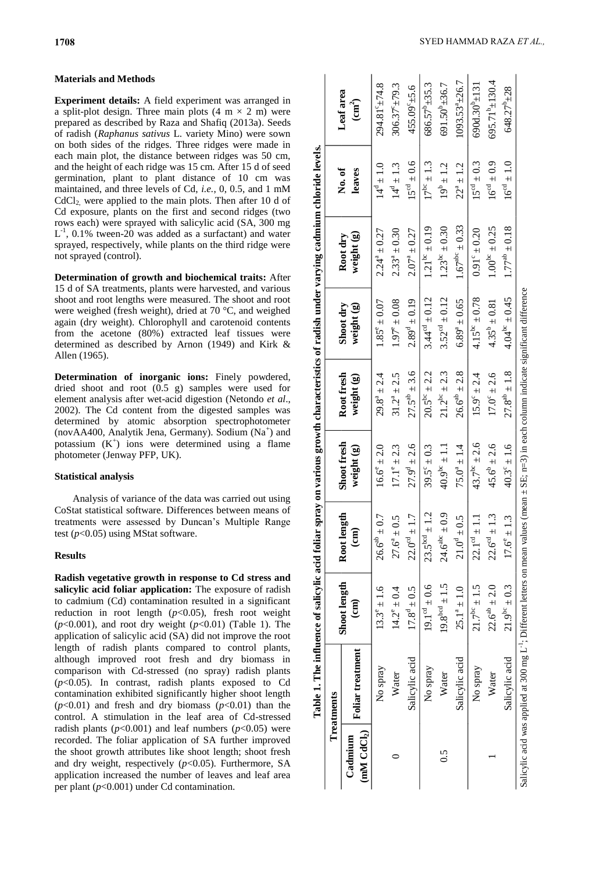## **Materials and Methods**

**Experiment details:** A field experiment was arranged in a split-plot design. Three main plots  $(4 \text{ m} \times 2 \text{ m})$  were prepared as described by Raza and Shafiq (2013a). Seeds of radish (*Raphanus sativus* L. variety Mino) were sown on both sides of the ridges. Three ridges were made in each main plot, the distance between ridges was 50 cm, and the height of each ridge was 15 cm. After 15 d of seed germination, plant to plant distance of 10 cm was maintained, and three levels of Cd, *i.e.*, 0, 0.5, and 1 mM  $CdCl<sub>2</sub>$  were applied to the main plots. Then after 10 d of Cd exposure, plants on the first and second ridges (two rows each) were sprayed with salicylic acid (SA, 300 mg  $L^{-1}$ , 0.1% tween-20 was added as a surfactant) and water sprayed, respectively, while plants on the third ridge were not sprayed (control).

**Determination of growth and biochemical traits:** After 15 d of SA treatments, plants were harvested, and various shoot and root lengths were measured. The shoot and root were weighed (fresh weight), dried at 70 °C, and weighed again (dry weight). Chlorophyll and carotenoid contents from the acetone (80%) extracted leaf tissues were determined as described by Arnon (1949) and Kirk & Allen (1965).

**Determination of inorganic ions:** Finely powdered, dried shoot and root (0.5 g) samples were used for element analysis after wet-acid digestion (Netondo *et al*., 2002). The Cd content from the digested samples was determined by atomic absorption spectrophotometer (novAA400, Analytik Jena, Germany). Sodium (Na<sup>+</sup> ) and potassium  $(K^+)$  ions were determined using a flame photometer (Jenway PFP, UK).

## **Statistical analysis**

Analysis of variance of the data was carried out using CoStat statistical software. Differences between means of treatments were assessed by Duncan's Multiple Range test (*p*<0.05) using MStat software.

## **Results**

**Radish vegetative growth in response to Cd stress and salicylic acid foliar application:** The exposure of radish to cadmium (Cd) contamination resulted in a significant reduction in root length  $(p<0.05)$ , fresh root weight  $(p<0.001)$ , and root dry weight  $(p<0.01)$  (Table 1). The application of salicylic acid (SA) did not improve the root length of radish plants compared to control plants, although improved root fresh and dry biomass in comparison with Cd-stressed (no spray) radish plants (*p*<0.05). In contrast, radish plants exposed to Cd contamination exhibited significantly higher shoot length  $(p<0.01)$  and fresh and dry biomass  $(p<0.01)$  than the control. A stimulation in the leaf area of Cd-stressed radish plants ( $p$ <0.001) and leaf numbers ( $p$ <0.05) were recorded. The foliar application of SA further improved the shoot growth attributes like shoot length; shoot fresh and dry weight, respectively (*p*<0.05). Furthermore, SA application increased the number of leaves and leaf area per plant (*p*<0.001) under Cd contamination.

|                                    | Treatments                                                                                                                                                  |                                 |                               |                           |                          |                           |                         |                    |                                         |
|------------------------------------|-------------------------------------------------------------------------------------------------------------------------------------------------------------|---------------------------------|-------------------------------|---------------------------|--------------------------|---------------------------|-------------------------|--------------------|-----------------------------------------|
| (mM CdCl <sub>2</sub> )<br>Cadmium | Foliar treatment                                                                                                                                            | Shoot length<br>$\binom{cm}{2}$ | Root length<br>$\binom{m}{n}$ | Shoot fresh<br>weight (g) | Root fresh<br>weight (g) | Shoot dry<br>weight (g)   | weight (g)<br>Root dry  | No.of<br>leaves    | Leaf area<br>$\left(\text{cm}^2\right)$ |
|                                    | No spray                                                                                                                                                    | $13.3^e \pm 1.6$                | $26.6^{ab} \pm 0.7$           | $16.6^{\circ} \pm 2.0$    | $29.8^{a} \pm 2.4$       | $1.85^{\circ} \pm 0.07$   | $2.24^a \pm 0.27$       | $14^{\circ} = 1.0$ | 294.81°±74.8                            |
|                                    | Water                                                                                                                                                       | $14.2^{\circ} \pm 0.4$          | $27.6^a \pm 0.$               | $17.1^e \pm 2.3$          | $31.2^a \pm 2.5$         | $1.97^{\circ} \pm 0.08$   | $2.33^{a} \pm 0.30$     | $14^d \pm 1.3$     | $306.37^{\circ}$ ± 79.3                 |
|                                    | Salicylic acid                                                                                                                                              | $17.8^{\circ} \pm 0.5$          | $22.0^{\circ d} \pm 1$        | $27.9^{\circ} \pm 2.6$    | $27.5^{ab} \pm 3.6$      | $2.89^d \pm 0.19$         | $2.07^a \pm 0.27$       | $15^{cd} \pm 0.6$  | $455.09^{\circ}$ ±5.6                   |
|                                    | No spray                                                                                                                                                    | $19.1^{\circ a} \pm 0.6$        | $23.5^{bcd}$ ± 1              | $39.5^{\circ} \pm 0.3$    | $20.5^{bc} \pm 2.2$      | $3.44^{\circ4} \pm 0.12$  | $1.21^{bc} \pm 0.19$    | $17^{bc} \pm 1.3$  | $686.57^{\circ}$ ± 35.3                 |
| $\widetilde{\rm C}$                | Water                                                                                                                                                       | $19.8^{bcd} \pm 1.5$            | $24.6^{abc} \pm 0.9$          | $40.9^{\circ}$ = 1.1      | $21.2^{bc} \pm 2.3$      | $3.52^{\circ d} \pm 0.12$ | $1.23^{bc} \pm 0.30$    | $19^{b} \pm 1.2$   | 691.50 <sup>b</sup> ±36.7               |
|                                    | Salicylic acid                                                                                                                                              | $25.1^a \pm 1.0$                | $21.0^4 \pm 0.$               | $75.0^a \pm 1.4$          | $26.6^{ab} \pm 2.8$      | $6.89^{a} \pm 0.65$       | $1.67^{abc} \pm 0.33$   | $22^a \pm 1.2$     | $1093.53^{a}$ $\pm$ 26.7                |
|                                    | No spray                                                                                                                                                    | $21.7^{bc} \pm 1.5$             | $22.1^{\circ a} \pm 1$ .      | 43.7 <sup>bc</sup> ± 2.6  | $15.9^{\circ} \pm 2.4$   | $4.15^{bc} \pm 0.78$      | $0.91^{\circ} \pm 0.20$ | $15^{cd} \pm 0.3$  | $690d.30^{b} \pm 131$                   |
|                                    | Water                                                                                                                                                       | $22.6^{ab} \pm 2.0$             | $22.6^{\circ d} \pm 1.3$      | $45.6^{\circ} \pm 2.6$    | $17.0^{\circ} \pm 2.6$   | $4.35^{b} \pm 0.81$       | $1.00^{bc} \pm 0.25$    | $16^{c0} \pm 0.9$  | $695.71^{\circ}$ ± 130.4                |
|                                    | Salicylic acid                                                                                                                                              | $21.9^{bc} \pm 0.3$             | $17.6^{\circ} \pm 1.$         | $40.3^{\circ} \pm 1.6$    | $27.8^{ab} \pm 1.8$      | $4.04^{\rm bc} \pm 0.45$  | $1.77^{ab} \pm 0.18$    | $16^{eq} \pm 1.0$  | 648.27 <sup>b</sup> ±28                 |
|                                    | Salicylic acid was applied at 300 mg L <sup>+1</sup> ; Different letters on mean values (mean $\pm$ SE; n=3) in each column indicate significant difference |                                 |                               |                           |                          |                           |                         |                    |                                         |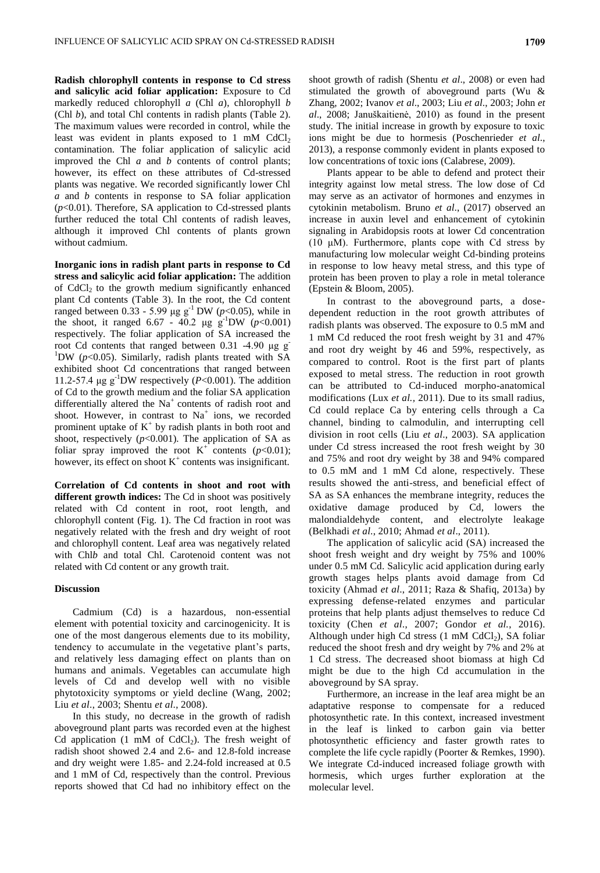**Radish chlorophyll contents in response to Cd stress and salicylic acid foliar application:** Exposure to Cd markedly reduced chlorophyll *a* (Chl *a*), chlorophyll *b* (Chl *b*), and total Chl contents in radish plants (Table 2). The maximum values were recorded in control, while the least was evident in plants exposed to  $1 \text{ mM } CdCl<sub>2</sub>$ contamination. The foliar application of salicylic acid improved the Chl *a* and *b* contents of control plants; however, its effect on these attributes of Cd-stressed plants was negative. We recorded significantly lower Chl *a* and *b* contents in response to SA foliar application (*p*<0.01). Therefore, SA application to Cd-stressed plants further reduced the total Chl contents of radish leaves, although it improved Chl contents of plants grown without cadmium.

**Inorganic ions in radish plant parts in response to Cd stress and salicylic acid foliar application:** The addition of  $CdCl<sub>2</sub>$  to the growth medium significantly enhanced plant Cd contents (Table 3). In the root, the Cd content ranged between 0.33 - 5.99 μg g<sup>-1</sup> DW (*p*<0.05), while in the shoot, it ranged 6.67 - 40.2  $\mu$ g g<sup>-1</sup>DW (*p*<0.001) respectively. The foliar application of SA increased the root Cd contents that ranged between 0.31 -4.90 μg g-<sup>1</sup>DW ( $p$ <0.05). Similarly, radish plants treated with SA exhibited shoot Cd concentrations that ranged between 11.2-57.4  $\mu$ g g<sup>-1</sup>DW respectively (*P*<0.001). The addition of Cd to the growth medium and the foliar SA application differentially altered the  $Na<sup>+</sup>$  contents of radish root and shoot. However, in contrast to  $Na<sup>+</sup>$  ions, we recorded prominent uptake of  $K^+$  by radish plants in both root and shoot, respectively  $(p<0.001)$ . The application of SA as foliar spray improved the root  $K^+$  contents ( $p<0.01$ ); however, its effect on shoot  $K^+$  contents was insignificant.

**Correlation of Cd contents in shoot and root with different growth indices:** The Cd in shoot was positively related with Cd content in root, root length, and chlorophyll content (Fig. 1). The Cd fraction in root was negatively related with the fresh and dry weight of root and chlorophyll content. Leaf area was negatively related with Chl*b* and total Chl. Carotenoid content was not related with Cd content or any growth trait.

## **Discussion**

Cadmium (Cd) is a hazardous, non-essential element with potential toxicity and carcinogenicity. It is one of the most dangerous elements due to its mobility, tendency to accumulate in the vegetative plant's parts, and relatively less damaging effect on plants than on humans and animals. Vegetables can accumulate high levels of Cd and develop well with no visible phytotoxicity symptoms or yield decline (Wang, 2002; Liu *et al*., 2003; Shentu *et al*., 2008).

In this study, no decrease in the growth of radish aboveground plant parts was recorded even at the highest Cd application  $(1 \text{ mM of } CdCl_2)$ . The fresh weight of radish shoot showed 2.4 and 2.6- and 12.8-fold increase and dry weight were 1.85- and 2.24-fold increased at 0.5 and 1 mM of Cd, respectively than the control. Previous reports showed that Cd had no inhibitory effect on the

shoot growth of radish (Shentu *et al*., 2008) or even had stimulated the growth of aboveground parts (Wu & Zhang, 2002; Ivanov *et al*., 2003; Liu *et al*., 2003; John *et al*., 2008; Januškaitienė, 2010) as found in the present study. The initial increase in growth by exposure to toxic ions might be due to hormesis (Poschenrieder *et al*., 2013), a response commonly evident in plants exposed to low concentrations of toxic ions (Calabrese, 2009).

Plants appear to be able to defend and protect their integrity against low metal stress. The low dose of Cd may serve as an activator of hormones and enzymes in cytokinin metabolism. Bruno *et al*., (2017) observed an increase in auxin level and enhancement of cytokinin signaling in Arabidopsis roots at lower Cd concentration (10 μM). Furthermore, plants cope with Cd stress by manufacturing low molecular weight Cd-binding proteins in response to low heavy metal stress, and this type of protein has been proven to play a role in metal tolerance (Epstein & Bloom, 2005).

In contrast to the aboveground parts, a dosedependent reduction in the root growth attributes of radish plants was observed. The exposure to 0.5 mM and 1 mM Cd reduced the root fresh weight by 31 and 47% and root dry weight by 46 and 59%, respectively, as compared to control. Root is the first part of plants exposed to metal stress. The reduction in root growth can be attributed to Cd-induced morpho-anatomical modifications (Lux *et al.,* 2011). Due to its small radius, Cd could replace Ca by entering cells through a Ca channel, binding to calmodulin, and interrupting cell division in root cells (Liu *et al*., 2003). SA application under Cd stress increased the root fresh weight by 30 and 75% and root dry weight by 38 and 94% compared to 0.5 mM and 1 mM Cd alone, respectively. These results showed the anti-stress, and beneficial effect of SA as SA enhances the membrane integrity, reduces the oxidative damage produced by Cd, lowers the malondialdehyde content, and electrolyte leakage (Belkhadi *et al*., 2010; Ahmad *et al*., 2011).

The application of salicylic acid (SA) increased the shoot fresh weight and dry weight by 75% and 100% under 0.5 mM Cd. Salicylic acid application during early growth stages helps plants avoid damage from Cd toxicity (Ahmad *et al*., 2011; Raza & Shafiq, 2013a) by expressing defense-related enzymes and particular proteins that help plants adjust themselves to reduce Cd toxicity (Chen *et al*., 2007; Gondor *et al.*, 2016). Although under high Cd stress  $(1 \text{ mM } CdCl_2)$ , SA foliar reduced the shoot fresh and dry weight by 7% and 2% at 1 Cd stress. The decreased shoot biomass at high Cd might be due to the high Cd accumulation in the aboveground by SA spray.

Furthermore, an increase in the leaf area might be an adaptative response to compensate for a reduced photosynthetic rate. In this context, increased investment in the leaf is linked to carbon gain via better photosynthetic efficiency and faster growth rates to complete the life cycle rapidly (Poorter & Remkes, 1990). We integrate Cd-induced increased foliage growth with hormesis, which urges further exploration at the molecular level.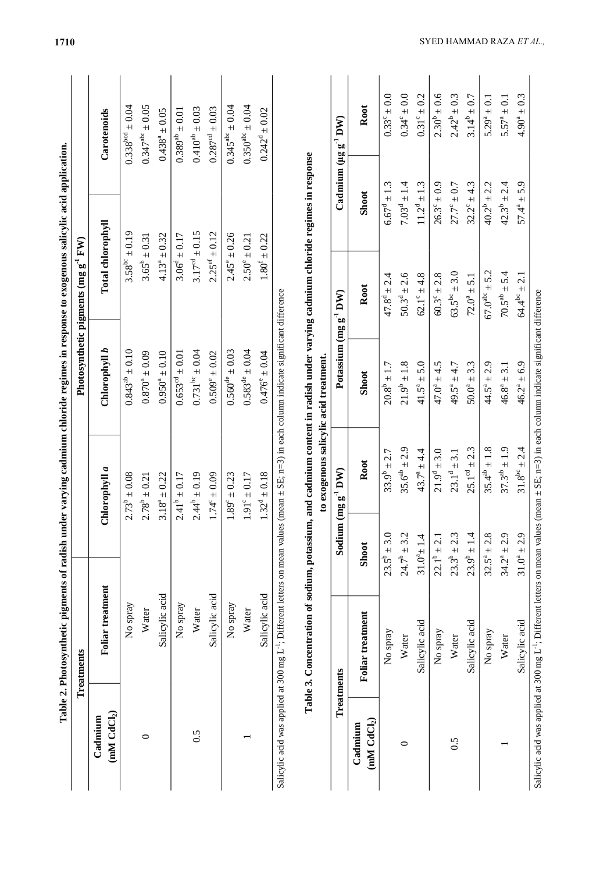|                                    | Treatments       |                         |                            | Photosynthetic pigments (mg g <sup>-1</sup> FW) |                                  |
|------------------------------------|------------------|-------------------------|----------------------------|-------------------------------------------------|----------------------------------|
| (mM CdCl <sub>2</sub> )<br>Cadmium | Foliar treatment | Chlorophyll a           | Chlorophyll b              | Total chlorophyll                               | Carotenoids                      |
|                                    | No spray         | $2.73^{\circ} \pm 0.08$ | $0.843^{ab} \pm 0.10$      | $3.58^{bc} \pm 0.19$                            | $0.338^{bcd} \pm 0.04$           |
|                                    | Water            | $2.78^b \pm 0.21$       | $0.870^4 \pm 0.09$         | $3.65^{\circ} \pm 0.31$                         | $0.347^{abc} \pm 0.05$           |
|                                    | Salicylic acid   | $3.18^a \pm 0.22$       | $0.950^4 \pm 0.10$         | $4.13^a \pm 0.32$                               | $0.438^a \pm 0.05$               |
|                                    | No spray         | $2.41^b \pm 0.17$       | $0.653^{\circ d} \pm 0.01$ | $3.06^{\circ} \pm 0.17$                         | $0.389^{ab} \pm 0.01$            |
| 0.5                                | Water            | $2.44^b \pm 0.19$       | $0.731^{bc} \pm 0.04$      | $3.17^{cd} \pm 0.15$                            | $0.410^{ab} \pm 0.03$            |
|                                    | Salicylic acid   | $1.74^{\circ} \pm 0.09$ | $0.509^{\circ} \pm 0.02$   | $2.25^{ef} \pm 0.12$                            | $0.287^{\text{cd}} \pm 0.03$     |
|                                    | No spray         | $1.89^{\circ} \pm 0.23$ | $0.560^{4e} \pm 0.03$      | $2.45^{\circ} \pm 0.26$                         | $0.345^{a}$ <sup>ec</sup> ± 0.04 |
|                                    | Water            | $1.91^{\circ} \pm 0.17$ | $0.583^{de} \pm 0.04$      | $2.50^{\circ} \pm 0.21$                         | $0.350^{abc} \pm 0.04$           |
|                                    | Salicylic acid   | $1.32^d \pm 0.18$       | $0.476^{\circ} \pm 0.04$   | $1.80^{f} \pm 0.22$                             | $0.242^d \pm 0.02$               |

| へへいい                                |   |                                              |
|-------------------------------------|---|----------------------------------------------|
|                                     | 1 |                                              |
|                                     |   |                                              |
| ה זה היה הכו                        |   |                                              |
|                                     |   |                                              |
|                                     |   |                                              |
|                                     |   |                                              |
|                                     |   |                                              |
|                                     |   |                                              |
| $\overline{a}$                      |   |                                              |
|                                     |   |                                              |
| ו מיידד היה ה                       |   |                                              |
|                                     |   |                                              |
|                                     |   |                                              |
|                                     |   |                                              |
|                                     |   |                                              |
|                                     |   |                                              |
|                                     |   |                                              |
|                                     |   |                                              |
|                                     |   |                                              |
|                                     |   |                                              |
|                                     |   |                                              |
|                                     |   |                                              |
|                                     |   |                                              |
|                                     |   |                                              |
|                                     |   |                                              |
|                                     |   |                                              |
|                                     |   |                                              |
|                                     |   |                                              |
| mun contant in rocich under vorwing |   | to overconomic coliering one thought the out |
|                                     |   |                                              |
|                                     |   |                                              |
|                                     |   |                                              |
|                                     |   |                                              |
|                                     |   |                                              |
| him notaccium and cadi              |   |                                              |
|                                     |   |                                              |
|                                     |   |                                              |
|                                     |   |                                              |
|                                     |   |                                              |
|                                     |   |                                              |
|                                     |   |                                              |
| i                                   |   |                                              |
| ç                                   |   |                                              |
|                                     |   |                                              |
|                                     |   |                                              |
|                                     |   |                                              |
|                                     |   |                                              |
|                                     |   |                                              |
|                                     |   |                                              |
|                                     |   |                                              |
|                                     |   |                                              |
|                                     |   |                                              |
|                                     |   |                                              |
|                                     |   |                                              |
|                                     |   |                                              |

| Treatments<br>$(mM)$ $CdCl2$<br>Cadmium<br>S.O | Foliar treatment<br>Salicylic acid<br>Salicylic acid<br>No spray<br>No spray<br>No spray<br>Water<br>Water<br>Water | $32.5^a \pm 2.8$<br>$24.7^{\circ} \pm 3.2$<br>$23.9^{b} \pm 1.4$<br>$34.2^a \pm 2.9$<br>$23.5^{b} \pm 3.0$<br>$23.3^{b} \pm 2.3$<br>$31.0^{a} \pm 1.4$<br>$22.1^b \pm 2.1$<br><b>Shoot</b> | $25.1^{\text{cd}} \pm 2.3$<br>$35.4^{ab} \pm 1.8$<br>$37.3^{ab} \pm 1.9$<br>35.6 <sup>ab</sup> ± 2.9<br>$43.7^a \pm 4.4$<br>$21.9^d \pm 3.0$<br>$33.9^b \pm 2.7$<br>$23.1^d \pm 3.1$<br>Root<br>Sodium $(mg g^{-1} DW)$ | $21.9^{b} \pm 1.8$<br>$41.5^a \pm 5.0$<br>$20.8^{b} \pm 1.7$<br>$47.0^a \pm 4.5$<br>$49.5^a \pm 4.7$<br>$50.0^4 \pm 3.3$<br>$44.5^a \pm 2.9$<br>$46.8^a \pm 3.1$<br>Shoot | $67.0^{abc} \pm 5.2$<br>$70.5^{ab} \pm 5.4$<br>$63.5^{bc} \pm 3.0$<br>$50.3^{\circ} \pm 2.6$<br>$62.1^{\circ} \pm 4.8$<br>$47.8^{\circ} \pm 2.4$<br>$60.3^{\circ} \pm 2.8$<br>$72.0^a \pm 5.1$<br>Root<br>Potassium (mg g <sup>-1</sup> DW) | $C$ admium ( $\mu$ g g <sup>-1</sup> DW)<br>$7.03^{\circ} \pm 1.4$<br>$11.2^d \pm 1.3$<br>$6.67^{\circ} \pm 1.3$<br>$26.3^{\circ} \pm 0.9$<br>$32.2^{\circ} \pm 4.3$<br>$40.2^b \pm 2.2$<br>$42.3^b \pm 2.4$<br>$27.7^{\circ} \pm 0.7$<br>Shoot | $2.30^{b} \pm 0.6$<br>$0.31^{\circ} \pm 0.2$<br>$2.42^b \pm 0.3$<br>$3.14^{b} \pm 0.7$<br>$0.33^{\circ} \pm 0.0$<br>$0.34^{\circ} \pm 0.0$<br>$5.29^a \pm 0.1$<br>$5.57^a \pm 0.1$<br>Root |
|------------------------------------------------|---------------------------------------------------------------------------------------------------------------------|--------------------------------------------------------------------------------------------------------------------------------------------------------------------------------------------|-------------------------------------------------------------------------------------------------------------------------------------------------------------------------------------------------------------------------|---------------------------------------------------------------------------------------------------------------------------------------------------------------------------|---------------------------------------------------------------------------------------------------------------------------------------------------------------------------------------------------------------------------------------------|-------------------------------------------------------------------------------------------------------------------------------------------------------------------------------------------------------------------------------------------------|--------------------------------------------------------------------------------------------------------------------------------------------------------------------------------------------|
|                                                | Salicylic acid                                                                                                      | $31.0^{a} \pm 2.9$                                                                                                                                                                         | $31.8^{bc} \pm 2.4$                                                                                                                                                                                                     | $46.2^a \pm 6.9$                                                                                                                                                          | $64.4^{bc} \pm 2.1$                                                                                                                                                                                                                         | $57.4^{a} \pm 5.9$                                                                                                                                                                                                                              | $4.90^a \pm 0.3$                                                                                                                                                                           |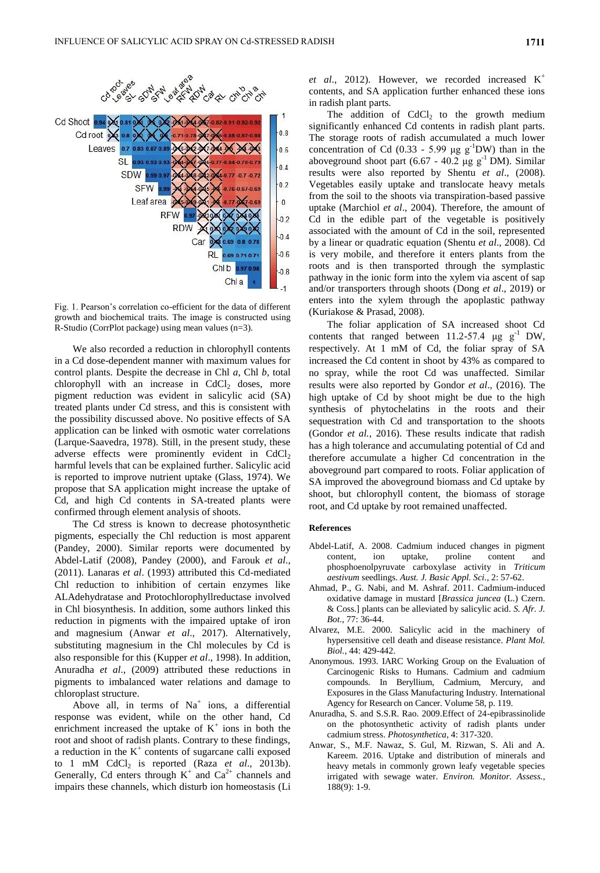

Fig. 1. Pearson's correlation co-efficient for the data of different growth and biochemical traits. The image is constructed using R-Studio (CorrPlot package) using mean values (n=3).

We also recorded a reduction in chlorophyll contents in a Cd dose-dependent manner with maximum values for control plants. Despite the decrease in Chl *a*, Chl *b*, total chlorophyll with an increase in  $CdCl<sub>2</sub>$  doses, more pigment reduction was evident in salicylic acid (SA) treated plants under Cd stress, and this is consistent with the possibility discussed above. No positive effects of SA application can be linked with osmotic water correlations (Larque-Saavedra, 1978). Still, in the present study, these adverse effects were prominently evident in  $CdCl<sub>2</sub>$ harmful levels that can be explained further. Salicylic acid is reported to improve nutrient uptake (Glass, 1974). We propose that SA application might increase the uptake of Cd, and high Cd contents in SA-treated plants were confirmed through element analysis of shoots.

The Cd stress is known to decrease photosynthetic pigments, especially the Chl reduction is most apparent (Pandey, 2000). Similar reports were documented by Abdel-Latif (2008), Pandey (2000), and Farouk *et al*., (2011). Lanaras *et al*. (1993) attributed this Cd-mediated Chl reduction to inhibition of certain enzymes like ALAdehydratase and Protochlorophyllreductase involved in Chl biosynthesis. In addition, some authors linked this reduction in pigments with the impaired uptake of iron and magnesium (Anwar *et al*., 2017). Alternatively, substituting magnesium in the Chl molecules by Cd is also responsible for this (Kupper *et al*., 1998). In addition, Anuradha *et al*., (2009) attributed these reductions in pigments to imbalanced water relations and damage to chloroplast structure.

Above all, in terms of  $Na<sup>+</sup>$  ions, a differential response was evident, while on the other hand, Cd enrichment increased the uptake of  $K^+$  ions in both the root and shoot of radish plants. Contrary to these findings, a reduction in the  $K^+$  contents of sugarcane calli exposed to 1 mM CdCl<sub>2</sub> is reported (Raza *et al.*, 2013b). Generally, Cd enters through  $K^+$  and  $Ca^{2+}$  channels and impairs these channels, which disturb ion homeostasis (Li

et al., 2012). However, we recorded increased K<sup>+</sup> contents, and SA application further enhanced these ions in radish plant parts.

The addition of  $CdCl<sub>2</sub>$  to the growth medium significantly enhanced Cd contents in radish plant parts. The storage roots of radish accumulated a much lower concentration of Cd (0.33 - 5.99  $\mu$ g g<sup>-1</sup>DW) than in the aboveground shoot part (6.67 - 40.2 µg  $g^{-1}$  DM). Similar results were also reported by Shentu *et al*., (2008). Vegetables easily uptake and translocate heavy metals from the soil to the shoots via transpiration-based passive uptake (Marchiol *et al*., 2004). Therefore, the amount of Cd in the edible part of the vegetable is positively associated with the amount of Cd in the soil, represented by a linear or quadratic equation (Shentu *et al*., 2008). Cd is very mobile, and therefore it enters plants from the roots and is then transported through the symplastic pathway in the ionic form into the xylem via ascent of sap and/or transporters through shoots (Dong *et al*., 2019) or enters into the xylem through the apoplastic pathway (Kuriakose & Prasad, 2008).

The foliar application of SA increased shoot Cd contents that ranged between  $11.2-57.4$   $\mu$ g g<sup>-1</sup> DW, respectively. At 1 mM of Cd, the foliar spray of SA increased the Cd content in shoot by 43% as compared to no spray, while the root Cd was unaffected. Similar results were also reported by Gondor *et al*., (2016). The high uptake of Cd by shoot might be due to the high synthesis of phytochelatins in the roots and their sequestration with Cd and transportation to the shoots (Gondor *et al.,* 2016). These results indicate that radish has a high tolerance and accumulating potential of Cd and therefore accumulate a higher Cd concentration in the aboveground part compared to roots. Foliar application of SA improved the aboveground biomass and Cd uptake by shoot, but chlorophyll content, the biomass of storage root, and Cd uptake by root remained unaffected.

#### **References**

- Abdel-Latif, A. 2008. Cadmium induced changes in pigment content, ion uptake, proline content and phosphoenolpyruvate carboxylase activity in *Triticum aestivum* seedlings. *Aust. J. Basic Appl. Sci.*, 2: 57-62.
- Ahmad, P., G. Nabi, and M. Ashraf. 2011. Cadmium-induced oxidative damage in mustard [*Brassica juncea* (L.) Czern. & Coss.] plants can be alleviated by salicylic acid. *S. Afr. J. Bot*., 77: 36-44.
- Alvarez, M.E. 2000. Salicylic acid in the machinery of hypersensitive cell death and disease resistance. *Plant Mol. Biol.*, 44: 429-442.
- Anonymous. 1993. IARC Working Group on the Evaluation of Carcinogenic Risks to Humans. Cadmium and cadmium compounds. In Beryllium, Cadmium, Mercury, and Exposures in the Glass Manufacturing Industry. International Agency for Research on Cancer. Volume 58, p. 119.
- Anuradha, S. and S.S.R. Rao. 2009.Effect of 24-epibrassinolide on the photosynthetic activity of radish plants under cadmium stress. *Photosynthetica*, 4: 317-320.
- Anwar, S., M.F. Nawaz, S. Gul, M. Rizwan, S. Ali and A. Kareem. 2016. Uptake and distribution of minerals and heavy metals in commonly grown leafy vegetable species irrigated with sewage water. *Environ. Monitor. Assess.*, 188(9): 1-9.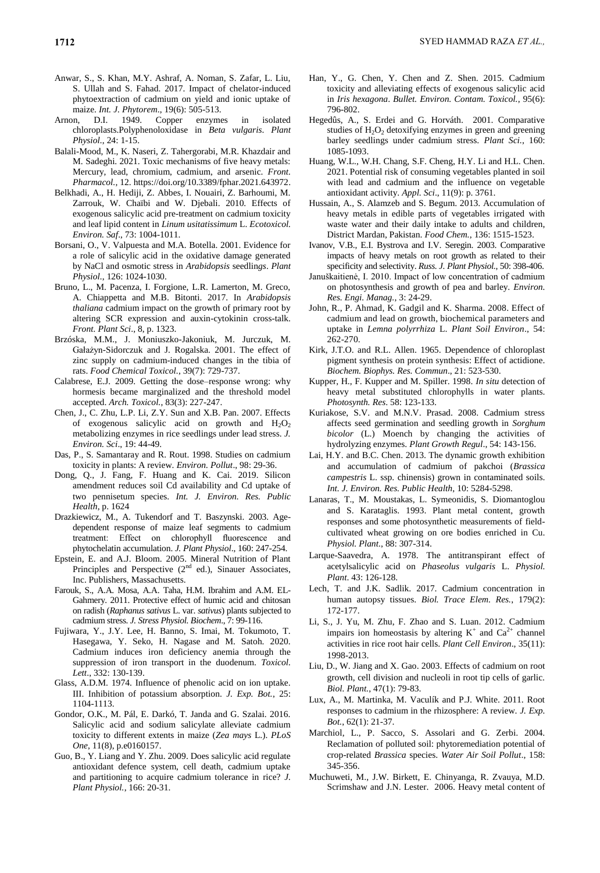- Anwar, S., S. Khan, M.Y. Ashraf, A. Noman, S. Zafar, L. Liu, S. Ullah and S. Fahad. 2017. Impact of chelator-induced phytoextraction of cadmium on yield and ionic uptake of maize. *Int. J. Phytorem*., 19(6): 505-513.
- Arnon, D.I. 1949. Copper enzymes in isolated chloroplasts.Polyphenoloxidase in *Beta vulgaris*. *Plant Physiol.*, 24: 1-15.
- Balali-Mood, M., K. Naseri, Z. Tahergorabi, M.R. Khazdair and M. Sadeghi. 2021. Toxic mechanisms of five heavy metals: Mercury, lead, chromium, cadmium, and arsenic. *Front. Pharmacol.*, 12[. https://doi.org/10.3389/fphar.2021.643972.](https://doi.org/10.3389/fphar.2021.643972)
- Belkhadi, A., H. Hediji, Z. Abbes, I. Nouairi, Z. Barhoumi, M. Zarrouk, W. Chaïbi and W. Djebali. 2010. Effects of exogenous salicylic acid pre-treatment on cadmium toxicity and leaf lipid content in *Linum usitatissimum* L. *Ecotoxicol. Environ. Saf*., 73: 1004-1011.
- Borsani, O., V. Valpuesta and M.A. Botella. 2001. Evidence for a role of salicylic acid in the oxidative damage generated by NaCl and osmotic stress in *Arabidopsis* seedlin*gs*. *Plant Physiol.*, 126: 1024-1030.
- Bruno, L., M. Pacenza, I. Forgione, L.R. Lamerton, M. Greco, A. Chiappetta and M.B. Bitonti. 2017. In *Arabidopsis thaliana* cadmium impact on the growth of primary root by altering SCR expression and auxin-cytokinin cross-talk. *Front. Plant Sci*., 8, p. 1323.
- Brzóska, M.M., J. Moniuszko-Jakoniuk, M. Jurczuk, M. Gałażyn-Sidorczuk and J. Rogalska. 2001. The effect of zinc supply on cadmium-induced changes in the tibia of rats. *Food Chemical Toxicol.*, 39(7): 729-737.
- Calabrese, E.J. 2009. Getting the dose–response wrong: why hormesis became marginalized and the threshold model accepted. *Arch. Toxicol.*, 83(3): 227-247.
- Chen, J., C. Zhu, L.P. Li, Z.Y. Sun and X.B. Pan. 2007. Effects of exogenous salicylic acid on growth and  $H_2O_2$ metabolizing enzymes in rice seedlings under lead stress. *J. Environ. Sci*., 19: 44-49.
- Das, P., S. Samantaray and R. Rout. 1998. Studies on cadmium toxicity in plants: A review. *Environ. Pollut*., 98: 29-36.
- Dong, Q., J. Fang, F. Huang and K. Cai. 2019. Silicon amendment reduces soil Cd availability and Cd uptake of two pennisetum species. *Int. J. Environ. Res. Public Health*, p. 1624
- Drazkiewicz, M., A. Tukendorf and T. Baszynski. 2003. Agedependent response of maize leaf segments to cadmium treatment: Effect on chlorophyll fluorescence and phytochelatin accumulation. *J. Plant Physiol*., 160: 247-254.
- Epstein, E. and A.J. Bloom. 2005. Mineral Nutrition of Plant Principles and Perspective  $(2^{nd}$  ed.), Sinauer Associates, Inc. Publishers, Massachusetts.
- Farouk, S., A.A. Mosa, A.A. Taha, H.M. Ibrahim and A.M. EL-Gahmery. 2011. Protective effect of humic acid and chitosan on radish (*Raphanus sativus* L. var. *sativus*) plants subjected to cadmium stress. *J. Stress Physiol. Biochem*., 7: 99-116.
- Fujiwara, Y., J.Y. Lee, H. Banno, S. Imai, M. Tokumoto, T. Hasegawa, Y. Seko, H. Nagase and M. Satoh. 2020. Cadmium induces iron deficiency anemia through the suppression of iron transport in the duodenum. *Toxicol. Lett*., 332: 130-139.
- Glass, A.D.M. 1974. Influence of phenolic acid on ion uptake. III. Inhibition of potassium absorption. *J. Exp. Bot.*, 25: 1104-1113.
- Gondor, O.K., M. Pál, E. Darkó, T. Janda and G. Szalai. 2016. Salicylic acid and sodium salicylate alleviate cadmium toxicity to different extents in maize (*Zea mays* L.). *PLoS One*, 11(8), p.e0160157.
- Guo, B., Y. Liang and Y. Zhu. 2009. Does salicylic acid regulate antioxidant defence system, cell death, cadmium uptake and partitioning to acquire cadmium tolerance in rice? *J. Plant Physiol.*, 166: 20-31.
- Han, Y., G. Chen, Y. Chen and Z. Shen. 2015. Cadmium toxicity and alleviating effects of exogenous salicylic acid in *Iris hexagona*. *Bullet. Environ. Contam. Toxicol.*, 95(6): 796-802.
- Hegedûs, A., S. Erdei and G. Horváth. 2001. Comparative studies of  $H_2O_2$  detoxifying enzymes in green and greening barley seedlings under cadmium stress. *Plant Sci.*, 160: 1085-1093.
- Huang, W.L., W.H. Chang, S.F. Cheng, H.Y. Li and H.L. Chen. 2021. Potential risk of consuming vegetables planted in soil with lead and cadmium and the influence on vegetable antioxidant activity. *Appl. Sci*., 11(9): p. 3761.
- Hussain, A., S. Alamzeb and S. Begum. 2013. Accumulation of heavy metals in edible parts of vegetables irrigated with waste water and their daily intake to adults and children, District Mardan, Pakistan. *Food Chem.*, 136: 1515-1523.
- Ivanov, V.B., E.I. Bystrova and I.V. Seregin. 2003. Comparative impacts of heavy metals on root growth as related to their specificity and selectivity. *Russ. J. Plant Physiol.*, 50: 398-406.
- Januškaitienė, I. 2010. Impact of low concentration of cadmium on photosynthesis and growth of pea and barley. *Environ. Res. Engi. Manag.*, 3: 24-29.
- John, R., P. Ahmad, K. Gadgil and K. Sharma. 2008. Effect of cadmium and lead on growth, biochemical parameters and uptake in *Lemna polyrrhiza* L. *Plant Soil Environ*., 54: 262-270.
- Kirk, J.T.O. and R.L. Allen. 1965. Dependence of chloroplast pigment synthesis on protein synthesis: Effect of actidione. *Biochem. Biophys. Res. Commun*., 21: 523-530.
- Kupper, H., F. Kupper and M. Spiller. 1998. *In situ* detection of heavy metal substituted chlorophylls in water plants. *Photosynth. Res*. 58: 123-133.
- Kuriakose, S.V. and M.N.V. Prasad. 2008. Cadmium stress affects seed germination and seedling growth in *Sorghum bicolor* (L.) Moench by changing the activities of hydrolyzing enzymes. *Plant Growth Regul*., 54: 143-156.
- Lai, H.Y. and B.C. Chen. 2013. The dynamic growth exhibition and accumulation of cadmium of pakchoi (*Brassica campestris* L. ssp. chinensis) grown in contaminated soils. *Int. J. Environ. Res. Public Health*, 10: 5284-5298.
- Lanaras, T., M. Moustakas, L. Symeonidis, S. Diomantoglou and S. Karataglis. 1993. Plant metal content, growth responses and some photosynthetic measurements of fieldcultivated wheat growing on ore bodies enriched in Cu. *Physiol. Plant.*, 88: 307-314.
- Larque-Saavedra, A. 1978. The antitranspirant effect of acetylsalicylic acid on *Phaseolus vulgaris* L. *Physiol. Plant*. 43: 126-128.
- Lech, T. and J.K. Sadlik. 2017. Cadmium concentration in human autopsy tissues. *Biol. Trace Elem. Res.*, 179(2): 172-177.
- Li, S., J. Yu, M. Zhu, F. Zhao and S. Luan. 2012. Cadmium impairs ion homeostasis by altering  $K^+$  and  $Ca^{2+}$  channel activities in rice root hair cells. *Plant Cell Environ*., 35(11): 1998-2013.
- Liu, D., W. Jiang and X. Gao. 2003. Effects of cadmium on root growth, cell division and nucleoli in root tip cells of garlic. *Biol. Plant.*, 47(1): 79-83.
- Lux, A., M. Martinka, M. Vaculík and P.J. White. 2011. Root responses to cadmium in the rhizosphere: A review. *J. Exp. Bot.*, 62(1): 21-37.
- Marchiol, L., P. Sacco, S. Assolari and G. Zerbi. 2004. Reclamation of polluted soil: phytoremediation potential of crop-related *Brassica* species. *Water Air Soil Pollut*., 158: 345-356.
- Muchuweti, M., J.W. Birkett, E. Chinyanga, R. Zvauya, M.D. Scrimshaw and J.N. Lester. 2006. Heavy metal content of